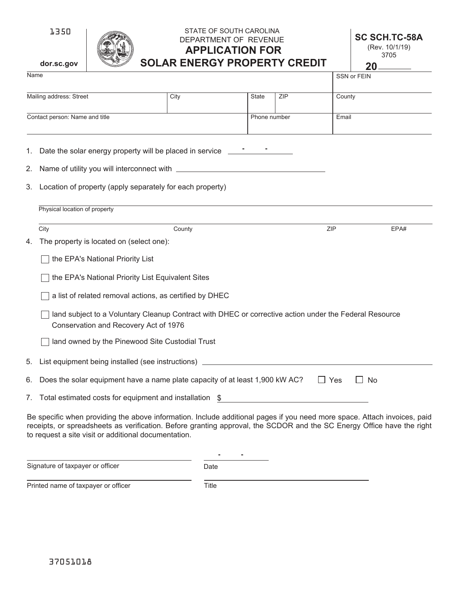

# STATE OF SOUTH CAROLINA DEPARTMENT OF REVENUE **SC SCH.TC-58A APPLICATION FOR SOLAR ENERGY PROPERTY CREDIT**

(Rev. 10/1/19) 3705

|                                                                                                                                                 | dor.sc.gov                                                                                              |                                                                                                                                                                                                                                                                                                            | SULAR ENERGY PROPERTY GREDH |              |            |        | 20                 |  |
|-------------------------------------------------------------------------------------------------------------------------------------------------|---------------------------------------------------------------------------------------------------------|------------------------------------------------------------------------------------------------------------------------------------------------------------------------------------------------------------------------------------------------------------------------------------------------------------|-----------------------------|--------------|------------|--------|--------------------|--|
| Name                                                                                                                                            |                                                                                                         |                                                                                                                                                                                                                                                                                                            |                             |              |            |        | <b>SSN or FEIN</b> |  |
| Mailing address: Street                                                                                                                         |                                                                                                         |                                                                                                                                                                                                                                                                                                            | City                        | <b>State</b> | <b>ZIP</b> | County |                    |  |
| Contact person: Name and title                                                                                                                  |                                                                                                         |                                                                                                                                                                                                                                                                                                            |                             | Phone number |            | Email  |                    |  |
|                                                                                                                                                 |                                                                                                         | 1. Date the solar energy property will be placed in service _______                                                                                                                                                                                                                                        |                             |              |            |        |                    |  |
|                                                                                                                                                 | 2. Name of utility you will interconnect with __________________________________                        |                                                                                                                                                                                                                                                                                                            |                             |              |            |        |                    |  |
|                                                                                                                                                 | 3. Location of property (apply separately for each property)                                            |                                                                                                                                                                                                                                                                                                            |                             |              |            |        |                    |  |
|                                                                                                                                                 |                                                                                                         | Physical location of property                                                                                                                                                                                                                                                                              |                             |              |            |        |                    |  |
|                                                                                                                                                 | City                                                                                                    |                                                                                                                                                                                                                                                                                                            | County                      |              |            | ZIP    | EPA#               |  |
| 4.                                                                                                                                              |                                                                                                         | The property is located on (select one):                                                                                                                                                                                                                                                                   |                             |              |            |        |                    |  |
|                                                                                                                                                 |                                                                                                         | the EPA's National Priority List                                                                                                                                                                                                                                                                           |                             |              |            |        |                    |  |
|                                                                                                                                                 |                                                                                                         | the EPA's National Priority List Equivalent Sites                                                                                                                                                                                                                                                          |                             |              |            |        |                    |  |
|                                                                                                                                                 | a list of related removal actions, as certified by DHEC                                                 |                                                                                                                                                                                                                                                                                                            |                             |              |            |        |                    |  |
| land subject to a Voluntary Cleanup Contract with DHEC or corrective action under the Federal Resource<br>Conservation and Recovery Act of 1976 |                                                                                                         |                                                                                                                                                                                                                                                                                                            |                             |              |            |        |                    |  |
|                                                                                                                                                 |                                                                                                         | land owned by the Pinewood Site Custodial Trust                                                                                                                                                                                                                                                            |                             |              |            |        |                    |  |
|                                                                                                                                                 | 5. List equipment being installed (see instructions) ___________________________                        |                                                                                                                                                                                                                                                                                                            |                             |              |            |        |                    |  |
| 6.                                                                                                                                              | Does the solar equipment have a name plate capacity of at least 1,900 kW AC?<br>$\Box$ Yes<br><b>No</b> |                                                                                                                                                                                                                                                                                                            |                             |              |            |        |                    |  |
|                                                                                                                                                 | 7. Total estimated costs for equipment and installation \$                                              |                                                                                                                                                                                                                                                                                                            |                             |              |            |        |                    |  |
|                                                                                                                                                 |                                                                                                         | Be specific when providing the above information. Include additional pages if you need more space. Attach invoices, paid<br>receipts, or spreadsheets as verification. Before granting approval, the SCDOR and the SC Energy Office have the right<br>to request a site visit or additional documentation. |                             |              |            |        |                    |  |

Signature of taxpayer or officer

**- -** Date

Printed name of taxpayer or officer Title